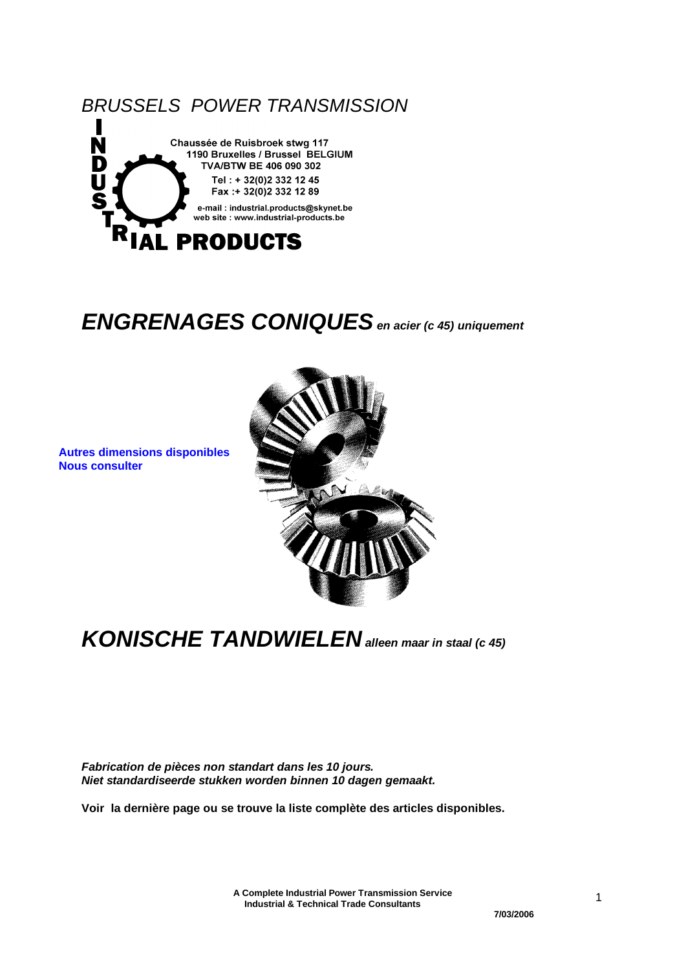

### *ENGRENAGES CONIQUES en acier (c 45) uniquement*

**Nous consulter** 



*KONISCHE TANDWIELEN alleen maar in staal (c 45)*

*Fabrication de pièces non standart dans les 10 jours. Niet standardiseerde stukken worden binnen 10 dagen gemaakt.*

**Voir la dernière page ou se trouve la liste complète des articles disponibles.**

**A Complete Industrial Power Transmission Service Industrial & Technical Trade Consultants**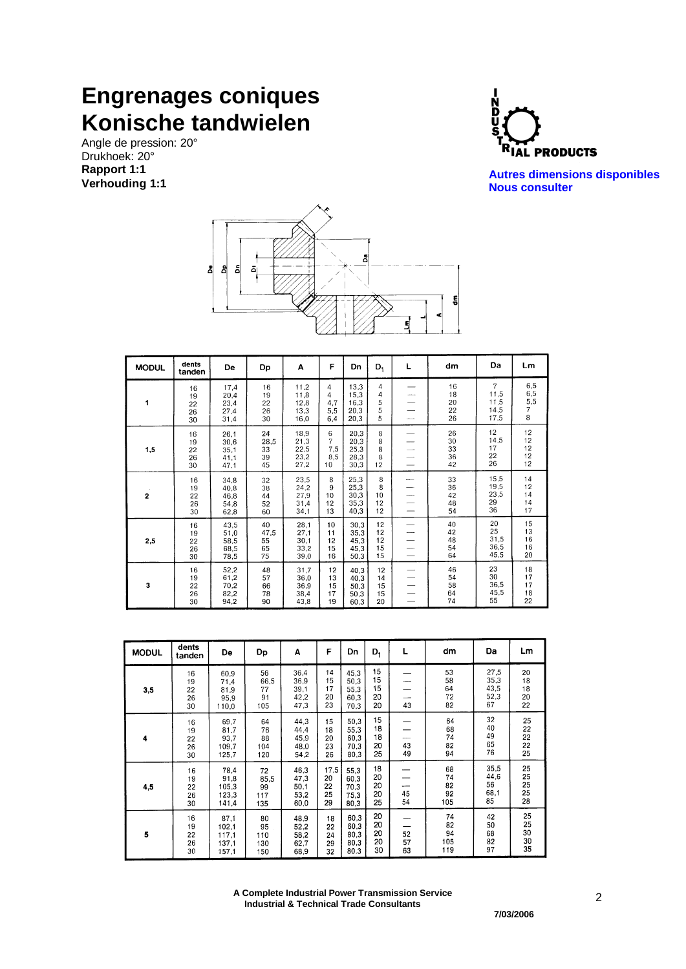### **Engrenages coniques Konische tandwielen**

Angle de pression: 20° Drukhoek: 20° **Rapport 1:1 Verhouding 1:1**



**Autres dimensions disponibles Nous consulter** 



| <b>MODUL</b>            | dents<br>tanden            | De                                   | Dp                           | Α                                    | F                                       | Dn                                   | $D_1$                      | L        | dm                         | Da                                             | Lm                                      |
|-------------------------|----------------------------|--------------------------------------|------------------------------|--------------------------------------|-----------------------------------------|--------------------------------------|----------------------------|----------|----------------------------|------------------------------------------------|-----------------------------------------|
| 1                       | 16<br>19<br>22<br>26<br>30 | 17,4<br>20,4<br>23,4<br>27,4<br>31,4 | 16<br>19<br>22<br>26<br>30   | 11,2<br>11,8<br>12,8<br>13,3<br>16,0 | 4<br>4<br>4,7<br>5,5<br>6,4             | 13,3<br>15,3<br>16.3<br>20,3<br>20,3 | 4<br>4<br>5<br>5<br>5      |          | 16<br>18<br>20<br>22<br>26 | $\overline{7}$<br>11,5<br>11,5<br>14,5<br>17,5 | $6,5$<br>$6,5$<br>5,5<br>7<br>8         |
| 1,5                     | 16<br>19<br>22<br>26<br>30 | 26,1<br>30,6<br>35,1<br>41,1<br>47.1 | 24<br>28,5<br>33<br>39<br>45 | 18,9<br>21,3<br>22,5<br>23.2<br>27,2 | 6<br>$\overline{7}$<br>7,5<br>8,5<br>10 | 20,3<br>20,3<br>25,3<br>28,3<br>30,3 | 8<br>8<br>8<br>8<br>12     |          | 26<br>30<br>33<br>36<br>42 | 12<br>14,5<br>17<br>22<br>26                   | 12<br>12<br>12<br>12<br>12 <sup>2</sup> |
| $\overline{\mathbf{2}}$ | 16<br>19<br>22<br>26<br>30 | 34,8<br>40,8<br>46,8<br>54,8<br>62,8 | 32<br>38<br>44<br>52<br>60   | 23,5<br>24,2<br>27,9<br>31,4<br>34,1 | 8<br>9<br>10<br>12<br>13                | 25,3<br>25,3<br>30,3<br>35,3<br>40.3 | 8<br>8<br>10<br>12<br>12   | en en la | 33<br>36<br>42<br>48<br>54 | 15,5<br>19,5<br>23,5<br>29<br>36               | 14<br>12<br>14<br>14<br>17              |
| 2,5                     | 16<br>19<br>22<br>26<br>30 | 43,5<br>51,0<br>58,5<br>68,5<br>78,5 | 40<br>47,5<br>55<br>65<br>75 | 28,1<br>27,1<br>30,1<br>33,2<br>39,0 | 10<br>11<br>12<br>15<br>16              | 30,3<br>35,3<br>45,3<br>45,3<br>50,3 | 12<br>12<br>12<br>15<br>15 |          | 40<br>42<br>48<br>54<br>64 | 20<br>25<br>31,5<br>36,5<br>45,5               | 15<br>13<br>16<br>16<br>20              |
| 3                       | 16<br>19<br>22<br>26<br>30 | 52,2<br>61,2<br>70,2<br>82,2<br>94,2 | 48<br>57<br>66<br>78<br>90   | 31,7<br>36,0<br>36,9<br>38,4<br>43,8 | 12<br>13<br>15<br>17<br>19              | 40,3<br>40,3<br>50,3<br>50,3<br>60.3 | 12<br>14<br>15<br>15<br>20 |          | 46<br>54<br>58<br>64<br>74 | 23<br>30<br>36,5<br>45,5<br>55                 | 18<br>17<br>17<br>18<br>22              |

| <b>MODUL</b> | dents<br>tanden            | De                                       | Dp                             | A                                    | F                            | Dn                                   | $D_1$                      | L              | dm                           | Da                                 | Lm                         |
|--------------|----------------------------|------------------------------------------|--------------------------------|--------------------------------------|------------------------------|--------------------------------------|----------------------------|----------------|------------------------------|------------------------------------|----------------------------|
| 3,5          | 16<br>19<br>22<br>26<br>30 | 60,9<br>71,4<br>81.9<br>95,9<br>110,0    | 56<br>66,5<br>77<br>91<br>105  | 36,4<br>36,9<br>39.1<br>42,2<br>47,3 | 14<br>15<br>17<br>20<br>23   | 45.3<br>50,3<br>55,3<br>60.3<br>70.3 | 15<br>15<br>15<br>20<br>20 | 43             | 53<br>58<br>64<br>72<br>82   | 27,5<br>35,3<br>43,5<br>52,3<br>67 | 20<br>18<br>18<br>20<br>22 |
| 4            | 16<br>19<br>22<br>26<br>30 | 69.7<br>81,7<br>93,7<br>109.7<br>125.7   | 64<br>76<br>88<br>104<br>120   | 44,3<br>44,4<br>45,9<br>48,0<br>54,2 | 15<br>18<br>20<br>23<br>26   | 50.3<br>55,3<br>60,3<br>70.3<br>80,3 | 15<br>18<br>18<br>20<br>25 | 43<br>49       | 64<br>68<br>74<br>82<br>94   | 32<br>40<br>49<br>65<br>76         | 25<br>22<br>22<br>22<br>25 |
| 4,5          | 16<br>19<br>22<br>26<br>30 | 78,4<br>91.8<br>105,3<br>123,3<br>141,4  | 72<br>85,5<br>99<br>117<br>135 | 46,3<br>47.3<br>50,1<br>53,2<br>60,0 | 17,5<br>20<br>22<br>25<br>29 | 55,3<br>60,3<br>70.3<br>75.3<br>80,3 | 18<br>20<br>20<br>20<br>25 | 45<br>54       | 68<br>74<br>82<br>92<br>105  | 35.5<br>44,6<br>56<br>68,1<br>85   | 25<br>25<br>25<br>25<br>28 |
| 5            | 16<br>19<br>22<br>26<br>30 | 87,1<br>102.1<br>117,1<br>137.1<br>157,1 | 80<br>95<br>110<br>130<br>150  | 48,9<br>52,2<br>58,2<br>62,7<br>68,9 | 18<br>22<br>24<br>29<br>32   | 60.3<br>60.3<br>80,3<br>80,3<br>80.3 | 20<br>20<br>20<br>20<br>30 | 52<br>57<br>63 | 74<br>82<br>94<br>105<br>119 | 42<br>50<br>68<br>82<br>97         | 25<br>25<br>30<br>30<br>35 |

**A Complete Industrial Power Transmission Service Industrial & Technical Trade Consultants**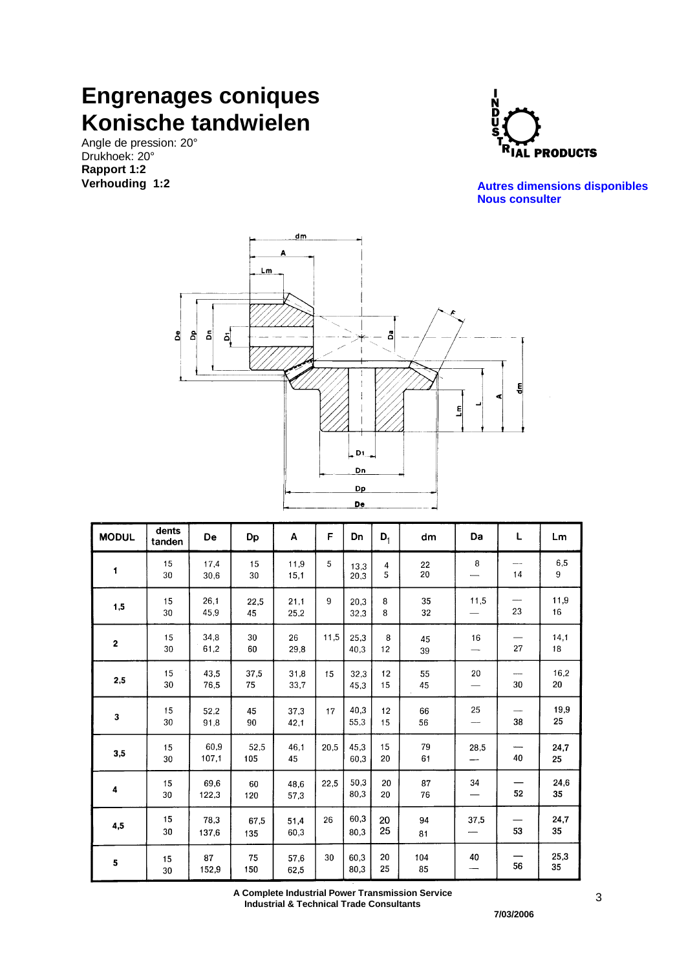### **Engrenages coniques Konische tandwielen**

Angle de pression: 20° Drukhoek: 20° **Rapport 1:2 Verhouding 1:2**



**Autres dimensions disponibles Nous consulter** 



| <b>MODUL</b> | dents<br>tanden | De            | Dp          | Α            | F    | Dn           | $D_1$    | dm        | Da                                   | L          | Lm         |
|--------------|-----------------|---------------|-------------|--------------|------|--------------|----------|-----------|--------------------------------------|------------|------------|
| $\mathbf{I}$ | 15<br>30        | 17,4<br>30,6  | 15<br>30    | 11,9<br>15,1 | 5    | 13,3<br>20.3 | 4<br>5   | 22<br>20  | 8                                    | 14         | 6,5<br>9   |
| 1,5          | 15<br>30        | 26,1<br>45,9  | 22,5<br>45  | 21,1<br>25,2 | 9    | 20,3<br>32.3 | 8<br>8   | 35<br>32  | 11,5                                 | 23         | 11,9<br>16 |
| $\mathbf{2}$ | 15<br>30        | 34,8<br>61,2  | 30<br>60    | 26<br>29,8   | 11,5 | 25,3<br>40.3 | 8<br>12  | 45<br>39  | 16                                   | 27         | 14,1<br>18 |
| 2,5          | 15<br>30        | 43,5<br>76,5  | 37,5<br>75  | 31,8<br>33,7 | 15   | 32,3<br>45,3 | 12<br>15 | 55<br>45  | 20<br>$\qquad \qquad \longleftarrow$ | ----<br>30 | 16,2<br>20 |
| 3            | 15<br>30        | 52,2<br>91,8  | 45<br>90    | 37,3<br>42,1 | 17   | 40,3<br>55.3 | 12<br>15 | 66<br>56  | 25<br>$\overline{\phantom{m}}$       | 38         | 19,9<br>25 |
| 3,5          | 15<br>30        | 60,9<br>107,1 | 52,5<br>105 | 46.1<br>45   | 20,5 | 45.3<br>60.3 | 15<br>20 | 79<br>61  | 28,5                                 | 40         | 24,7<br>25 |
| 4            | 15<br>30        | 69,6<br>122,3 | 60<br>120   | 48,6<br>57,3 | 22,5 | 50,3<br>80,3 | 20<br>20 | 87<br>76  | 34                                   | 52         | 24,6<br>35 |
| 4,5          | 15<br>30        | 78,3<br>137.6 | 67,5<br>135 | 51,4<br>60,3 | 26   | 60,3<br>80,3 | 20<br>25 | 94<br>81  | 37,5                                 | 53         | 24,7<br>35 |
| 5            | 15<br>30        | 87<br>152,9   | 75<br>150   | 57,6<br>62,5 | 30   | 60,3<br>80,3 | 20<br>25 | 104<br>85 | 40                                   | 56         | 25,3<br>35 |

**A Complete Industrial Power Transmission Service Industrial & Technical Trade Consultants**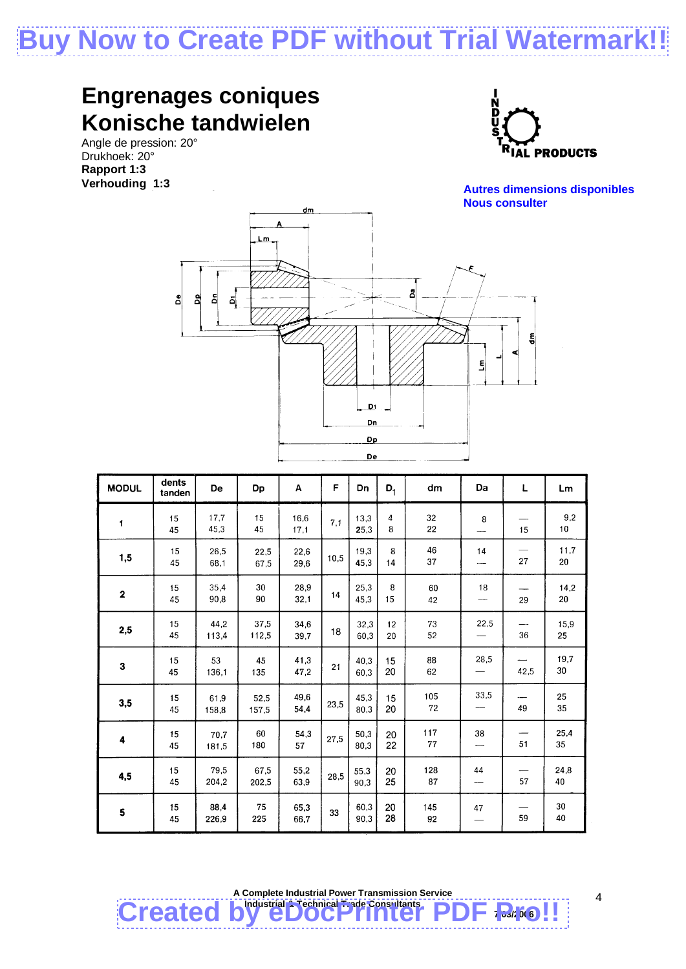# **Buy Now to Create PDF without Trial Watermark**

#### **Engrenages coniques Konische tandwielen**

Angle de pression: 20° Drukhoek: 20° **Rapport 1:3 Verhouding 1:3**



**Autres dimensions disponibles Nous consulter** 



| <b>MODUL</b> | dents<br>tanden | De            | Dp            | A            | F    | Dn           | $D_1$               | dm        | Da                    | L    | Lm         |
|--------------|-----------------|---------------|---------------|--------------|------|--------------|---------------------|-----------|-----------------------|------|------------|
| $\mathbf{1}$ | 15<br>45        | 17,7<br>45.3  | 15<br>45      | 16,6<br>17,1 | 7,1  | 13.3<br>25,3 | $\overline{4}$<br>8 | 32<br>22  | 8                     | 15   | 9,2<br>10  |
| 1,5          | 15<br>45        | 26,5<br>68,1  | 22.5<br>67,5  | 22,6<br>29,6 | 10,5 | 19,3<br>45,3 | 8<br>14             | 46<br>37  | 14<br>----            | 27   | 11,7<br>20 |
| $\mathbf 2$  | 15<br>45        | 35,4<br>90,8  | 30<br>90      | 28,9<br>32.1 | 14   | 25,3<br>45.3 | 8<br>15             | 60<br>42  | 18<br>---             | 29   | 14,2<br>20 |
| 2,5          | 15<br>45        | 44.2<br>113,4 | 37,5<br>112,5 | 34,6<br>39,7 | 18   | 32.3<br>60.3 | 12<br>20            | 73<br>52  | 22,5                  | 36   | 15,9<br>25 |
| 3            | 15<br>45        | 53<br>136.1   | 45<br>135     | 41,3<br>47,2 | 21   | 40,3<br>60,3 | 15<br>20            | 88<br>62  | 28,5                  | 42,5 | 19,7<br>30 |
| 3,5          | 15<br>45        | 61,9<br>158,8 | 52,5<br>157,5 | 49,6<br>54,4 | 23,5 | 45,3<br>80,3 | 15<br>20            | 105<br>72 | 33,5                  | 49   | 25<br>35   |
| 4            | 15<br>45        | 70.7<br>181,5 | 60<br>180     | 54,3<br>57   | 27,5 | 50,3<br>80,3 | 20<br>22            | 117<br>77 | 38                    | 51   | 25,4<br>35 |
| 4,5          | 15<br>45        | 79,5<br>204.2 | 67.5<br>202,5 | 55,2<br>63,9 | 28,5 | 55,3<br>90,3 | 20<br>25            | 128<br>87 | 44<br>$\qquad \qquad$ | 57   | 24,8<br>40 |
| 5            | 15<br>45        | 88,4<br>226,9 | 75<br>225     | 65,3<br>66,7 | 33   | 60,3<br>90,3 | 20<br>28            | 145<br>92 | 47                    | 59   | 30<br>40   |

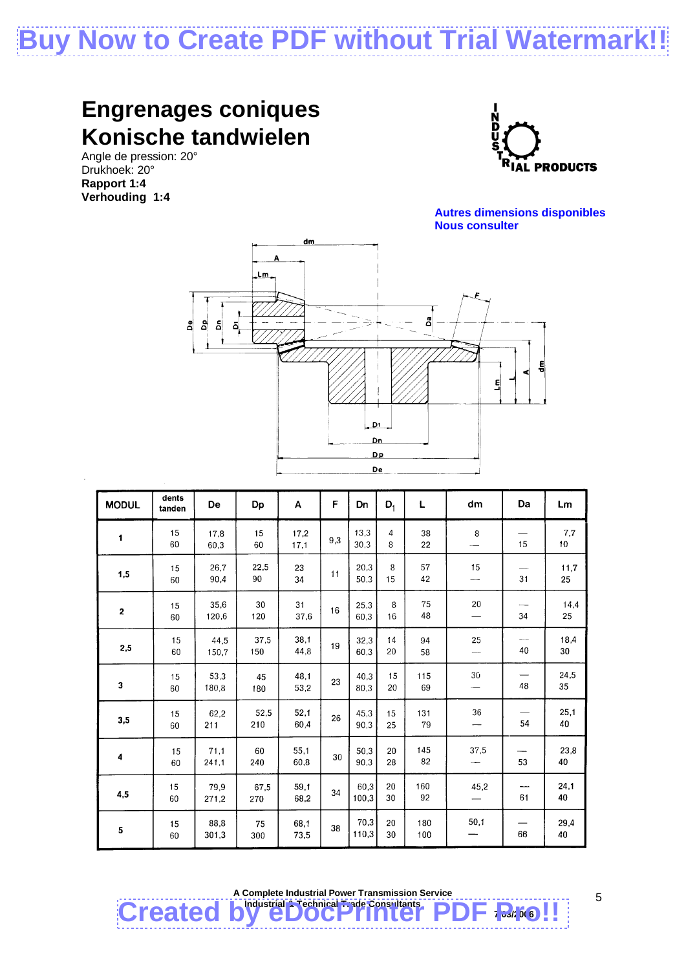## **Buy Now to Create PDF without Trial Watermark**

#### **Engrenages coniques Konische tandwielen**

Angle de pression: 20° Drukhoek: 20° **Rapport 1:4 Verhouding 1:4**







| <b>MODUL</b>   | dents<br>tanden | De            | Dp          | A            | F   | Dn            | $D_1$    | L          | dm     | Da | Lm                      |
|----------------|-----------------|---------------|-------------|--------------|-----|---------------|----------|------------|--------|----|-------------------------|
| $\blacksquare$ | 15<br>60        | 17,8<br>60,3  | 15<br>60    | 17,2<br>17,1 | 9,3 | 13.3<br>30,3  | 4<br>8   | 38<br>22   | 8      | 15 | 7,7<br>10 <sub>10</sub> |
| 1,5            | 15<br>60        | 26.7<br>90,4  | 22,5<br>90  | 23<br>34     | 11  | 20,3<br>50.3  | 8<br>15  | 57<br>42   | 15     | 31 | 11,7<br>25              |
| 2              | 15<br>60        | 35.6<br>120.6 | 30<br>120   | 31<br>37.6   | 16  | 25.3<br>60.3  | 8<br>16  | 75<br>48   | 20     | 34 | 14,4<br>25              |
| 2,5            | 15<br>60        | 44.5<br>150.7 | 37,5<br>150 | 38,1<br>44,8 | 19  | 32,3<br>60,3  | 14<br>20 | 94<br>58   | 25     | 40 | 18,4<br>30              |
| 3              | 15<br>60        | 53,3<br>180,8 | 45<br>180   | 48,1<br>53,2 | 23  | 40.3<br>80.3  | 15<br>20 | 115<br>69  | $30\,$ | 48 | 24,5<br>35              |
| 3,5            | 15<br>60        | 62,2<br>211   | 52,5<br>210 | 52,1<br>60,4 | 26  | 45,3<br>90,3  | 15<br>25 | 131<br>79  | 36     | 54 | 25,1<br>40              |
| 4              | 15<br>60        | 71.1<br>241,1 | 60<br>240   | 55.1<br>60,8 | 30  | 50.3<br>90.3  | 20<br>28 | 145<br>82  | 37,5   | 53 | 23,8<br>40              |
| 4,5            | 15<br>60        | 79,9<br>271,2 | 67,5<br>270 | 59,1<br>68,2 | 34  | 60,3<br>100.3 | 20<br>30 | 160<br>92  | 45,2   | 61 | 24,1<br>40              |
| 5              | 15<br>60        | 88,8<br>301.3 | 75<br>300   | 68,1<br>73.5 | 38  | 70,3<br>110,3 | 20<br>30 | 180<br>100 | 50,1   | 66 | 29,4<br>40              |



5